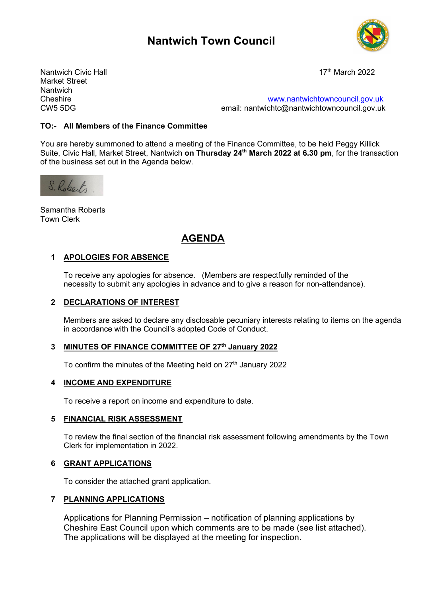# **Nantwich Town Council**



Nantwich Civic Hall 17th March 2022 Market Street Nantwich<br>Cheshire

Cheshire [www.nantwichtowncouncil.gov.uk](http://www.nantwichtowncouncil.gov.uk/)<br>CW5.5DG email: nantwichtc@nantwichtowncouncil.gov.uk email: nantwichtc@nantwichtowncouncil.gov.uk

#### **TO:- All Members of the Finance Committee**

You are hereby summoned to attend a meeting of the Finance Committee, to be held Peggy Killick Suite, Civic Hall, Market Street, Nantwich **on Thursday 24th March 2022 at 6.30 pm**, for the transaction of the business set out in the Agenda below.



Samantha Roberts Town Clerk

## **AGENDA**

#### **1 APOLOGIES FOR ABSENCE**

To receive any apologies for absence. (Members are respectfully reminded of the necessity to submit any apologies in advance and to give a reason for non-attendance).

#### **2 DECLARATIONS OF INTEREST**

Members are asked to declare any disclosable pecuniary interests relating to items on the agenda in accordance with the Council's adopted Code of Conduct.

#### **3 MINUTES OF FINANCE COMMITTEE OF 27th January 2022**

To confirm the minutes of the Meeting held on  $27<sup>th</sup>$  January 2022

#### **4 INCOME AND EXPENDITURE**

To receive a report on income and expenditure to date.

#### **5 FINANCIAL RISK ASSESSMENT**

To review the final section of the financial risk assessment following amendments by the Town Clerk for implementation in 2022.

#### **6 GRANT APPLICATIONS**

To consider the attached grant application.

#### **7 PLANNING APPLICATIONS**

Applications for Planning Permission – notification of planning applications by Cheshire East Council upon which comments are to be made (see list attached). The applications will be displayed at the meeting for inspection.